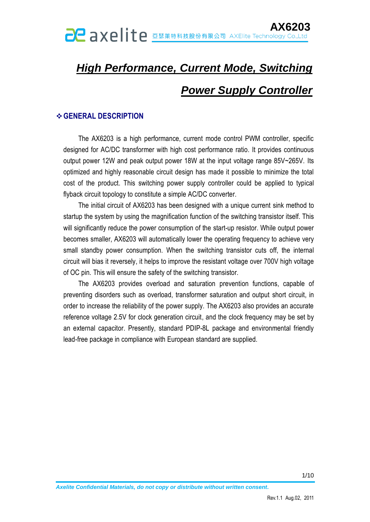# *High Performance, Current Mode, Switching Power Supply Controller*

### **GENERAL DESCRIPTION**

The AX6203 is a high performance, current mode control PWM controller, specific designed for AC/DC transformer with high cost performance ratio. It provides continuous output power 12W and peak output power 18W at the input voltage range 85V~265V. Its optimized and highly reasonable circuit design has made it possible to minimize the total cost of the product. This switching power supply controller could be applied to typical flyback circuit topology to constitute a simple AC/DC converter.

The initial circuit of AX6203 has been designed with a unique current sink method to startup the system by using the magnification function of the switching transistor itself. This will significantly reduce the power consumption of the start-up resistor. While output power becomes smaller, AX6203 will automatically lower the operating frequency to achieve very small standby power consumption. When the switching transistor cuts off, the internal circuit will bias it reversely, it helps to improve the resistant voltage over 700V high voltage of OC pin. This will ensure the safety of the switching transistor.

The AX6203 provides overload and saturation prevention functions, capable of preventing disorders such as overload, transformer saturation and output short circuit, in order to increase the reliability of the power supply. The AX6203 also provides an accurate reference voltage 2.5V for clock generation circuit, and the clock frequency may be set by an external capacitor. Presently, standard PDIP-8L package and environmental friendly lead-free package in compliance with European standard are supplied.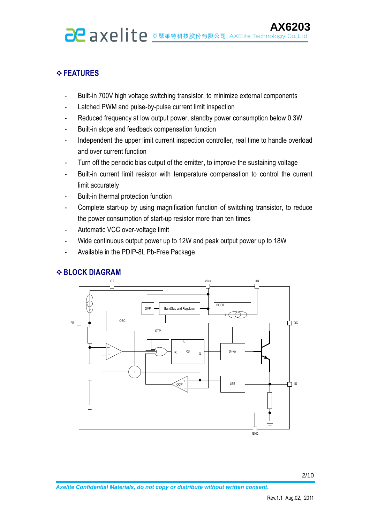#### **FEATURES**

- Built-in 700V high voltage switching transistor, to minimize external components
- Latched PWM and pulse-by-pulse current limit inspection
- Reduced frequency at low output power, standby power consumption below 0.3W
- Built-in slope and feedback compensation function
- Independent the upper limit current inspection controller, real time to handle overload and over current function
- Turn off the periodic bias output of the emitter, to improve the sustaining voltage
- Built-in current limit resistor with temperature compensation to control the current limit accurately
- Built-in thermal protection function
- Complete start-up by using magnification function of switching transistor, to reduce the power consumption of start-up resistor more than ten times
- Automatic VCC over-voltage limit
- Wide continuous output power up to 12W and peak output power up to 18W
- Available in the PDIP-8L Pb-Free Package



#### **BLOCK DIAGRAM**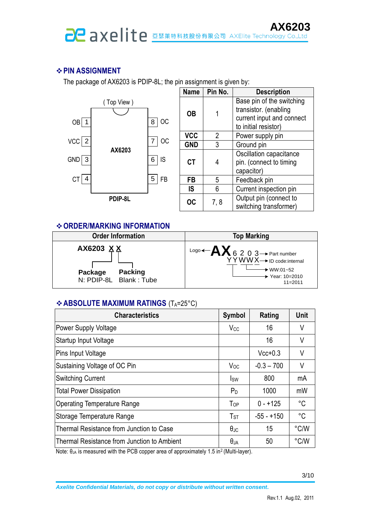# **PIN ASSIGNMENT**

The package of AX6203 is PDIP-8L; the pin assignment is given by:



| <b>Name</b> | Pin No. | <b>Description</b>                                                                                      |  |  |  |  |
|-------------|---------|---------------------------------------------------------------------------------------------------------|--|--|--|--|
| OΒ          |         | Base pin of the switching<br>transistor. (enabling<br>current input and connect<br>to initial resistor) |  |  |  |  |
| <b>VCC</b>  | 2       | Power supply pin                                                                                        |  |  |  |  |
| <b>GND</b>  | 3       | Ground pin                                                                                              |  |  |  |  |
| <b>CT</b>   |         | Oscillation capacitance<br>pin. (connect to timing<br>capacitor)                                        |  |  |  |  |
| FB          | 5       | Feedback pin                                                                                            |  |  |  |  |
| IS          | 6       | Current inspection pin                                                                                  |  |  |  |  |
| OC          | 7,8     | Output pin (connect to<br>switching transformer)                                                        |  |  |  |  |

#### **ORDER/MARKING INFORMATION**



# **ABSOLUTE MAXIMUM RATINGS** (TA=25°C)

| <b>Characteristics</b>                      | <b>Symbol</b>        | Rating       | Unit          |
|---------------------------------------------|----------------------|--------------|---------------|
| Power Supply Voltage                        | V <sub>CC</sub>      | 16           | V             |
| Startup Input Voltage                       |                      | 16           | V             |
| Pins Input Voltage                          |                      | $Vcc+0.3$    | V             |
| Sustaining Voltage of OC Pin                | $V_{OC}$             | $-0.3 - 700$ | V             |
| <b>Switching Current</b>                    | <b>I</b> sw          | 800          | mA            |
| <b>Total Power Dissipation</b>              | $P_D$                | 1000         | mW            |
| <b>Operating Temperature Range</b>          | $T_{OP}$             | $0 - +125$   | $^{\circ}C$   |
| Storage Temperature Range                   | $T_{\textrm{ST}}$    | $-55 - +150$ | $^{\circ}$ C  |
| Thermal Resistance from Junction to Case    | $\theta_{\text{JC}}$ | 15           | $\degree$ C/W |
| Thermal Resistance from Junction to Ambient | $\theta_{JA}$        | 50           | °C/W          |

Note: θ<sub>JA</sub> is measured with the PCB copper area of approximately 1.5 in<sup>2</sup> (Multi-layer).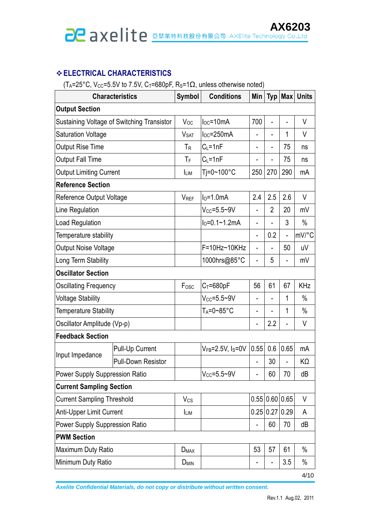# **ELECTRICAL CHARACTERISTICS**

(T<sub>A</sub>=25°C, V<sub>CC</sub>=5.5V to 7.5V, C<sub>T</sub>=680pF, R<sub>S</sub>=1 $\Omega$ , unless otherwise noted)

| <b>Characteristics</b>                     |                           | Symbol                 | <b>Conditions</b>               | Min                      |                |                          | Typ   Max   Units |  |
|--------------------------------------------|---------------------------|------------------------|---------------------------------|--------------------------|----------------|--------------------------|-------------------|--|
| <b>Output Section</b>                      |                           |                        |                                 |                          |                |                          |                   |  |
| Sustaining Voltage of Switching Transistor |                           | Voc                    | $I_{\text{loc}} = 10 \text{mA}$ | 700                      | $\overline{a}$ |                          | V                 |  |
| <b>Saturation Voltage</b>                  |                           | <b>V<sub>SAT</sub></b> | loc=250mA                       | -                        | $\overline{a}$ | 1                        | V                 |  |
| <b>Output Rise Time</b>                    |                           | $T_R$                  | $C_L = 1nF$                     | -                        | -              | 75                       | ns                |  |
| <b>Output Fall Time</b>                    |                           | ТF                     | $C_L = 1nF$                     | -                        | $\overline{a}$ | 75                       | ns                |  |
| <b>Output Limiting Current</b>             |                           | <b>ILIM</b>            | Tj=0~100°C                      | 250                      | 270            | 290                      | mA                |  |
| <b>Reference Section</b>                   |                           |                        |                                 |                          |                |                          |                   |  |
| Reference Output Voltage                   |                           | <b>V<sub>REF</sub></b> | $I0=1.0mA$                      | 2.4                      | 2.5            | 2.6                      | V                 |  |
| Line Regulation                            |                           |                        | $V_{CC} = 5.5 - 9V$             | $\overline{\phantom{0}}$ | $\overline{2}$ | 20                       | mV                |  |
| <b>Load Regulation</b>                     |                           |                        | $I_0 = 0.1 - 1.2$ mA            | -                        | $\overline{a}$ | 3                        | $\%$              |  |
| Temperature stability                      |                           |                        |                                 | -                        | 0.2            | $\overline{\phantom{0}}$ | mV/°C             |  |
| <b>Output Noise Voltage</b>                |                           |                        | F=10Hz~10KHz                    | -                        |                | 50                       | uV                |  |
| Long Term Stability                        |                           |                        | 1000hrs@85°C                    | $\overline{a}$           | 5              | $\overline{a}$           | mV                |  |
| <b>Oscillator Section</b>                  |                           |                        |                                 |                          |                |                          |                   |  |
| <b>Oscillating Frequency</b>               |                           | Fosc                   | $C_T = 680pF$                   | 56                       | 61             | 67                       | <b>KHz</b>        |  |
| <b>Voltage Stability</b>                   |                           |                        | $V_{CC} = 5.5 - 9V$             | -                        | $\overline{a}$ | 1                        | $\%$              |  |
| Temperature Stability                      |                           |                        | $T_A = 0 - 85$ °C               | -                        |                | 1                        | $\%$              |  |
| Oscillator Amplitude (Vp-p)                |                           |                        |                                 | -                        | 2.2            | -                        | V                 |  |
| <b>Feedback Section</b>                    |                           |                        |                                 |                          |                |                          |                   |  |
| Input Impedance                            | Pull-Up Current           |                        | $V_{FB} = 2.5V$ , $I_S = 0V$    | 0.55                     | 0.6            | 0.65                     | mA                |  |
|                                            | <b>Pull-Down Resistor</b> |                        |                                 |                          | 30             |                          | KΩ                |  |
| <b>Power Supply Suppression Ratio</b>      |                           |                        | $V_{CC} = 5.5 - 9V$             |                          | 60             | 70                       | dB                |  |
| <b>Current Sampling Section</b>            |                           |                        |                                 |                          |                |                          |                   |  |
| <b>Current Sampling Threshold</b>          |                           | $V_{CS}$               |                                 |                          | 0.55 0.60 0.65 |                          | V                 |  |
| <b>Anti-Upper Limit Current</b>            |                           | <b>ILIM</b>            |                                 | 0.25                     |                | 0.27 0.29                | A                 |  |
| Power Supply Suppression Ratio             |                           |                        |                                 | $\overline{a}$           | 60             | 70                       | dB                |  |
| <b>PWM Section</b>                         |                           |                        |                                 |                          |                |                          |                   |  |
| Maximum Duty Ratio                         |                           | $D_{MAX}$              |                                 | 53                       | 57             | 61                       | $\%$              |  |
| Minimum Duty Ratio                         |                           | $D_{MIN}$              |                                 |                          | $\overline{a}$ | 3.5                      | $\%$              |  |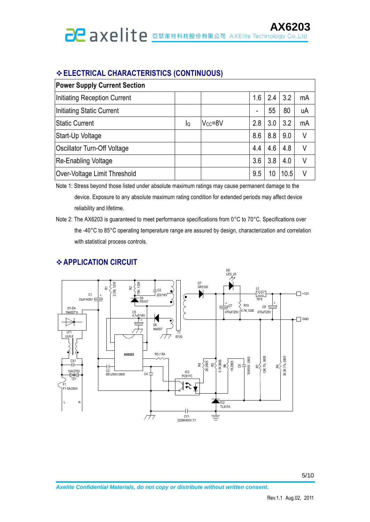# **ELECTRICAL CHARACTERISTICS (CONTINUOUS)**

| <b>Power Supply Current Section</b> |    |               |     |     |      |    |
|-------------------------------------|----|---------------|-----|-----|------|----|
| Initiating Reception Current        |    |               | 1.6 | 2.4 | 3.2  | mA |
| Initiating Static Current           |    |               | -   | 55  | 80   | uA |
| <b>Static Current</b>               | lQ | $V_{CC} = 8V$ | 2.8 | 3.0 | 3.2  | mA |
| Start-Up Voltage                    |    |               | 8.6 | 8.8 | 9.0  | ٧  |
| Oscillator Turn-Off Voltage         |    |               | 4.4 | 4.6 | 4.8  | V  |
| Re-Enabling Voltage                 |    |               | 3.6 | 3.8 | 4.0  | V  |
| Over-Voltage Limit Threshold        |    |               | 9.5 | 10  | 10.5 | V  |

Note 1: Stress beyond those listed under absolute maximum ratings may cause permanent damage to the device. Exposure to any absolute maximum rating condition for extended periods may affect device reliability and lifetime.

# **APPLICATION CIRCUIT**



Note 2: The AX6203 is guaranteed to meet performance specifications from 0°C to 70°C. Specifications over the -40°C to 85°C operating temperature range are assured by design, characterization and correlation with statistical process controls.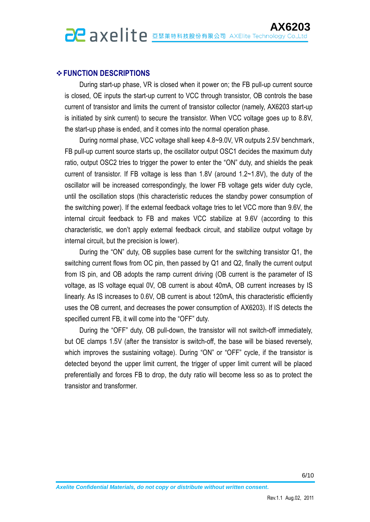# **FUNCTION DESCRIPTIONS**

During start-up phase, VR is closed when it power on; the FB pull-up current source is closed, OE inputs the start-up current to VCC through transistor, OB controls the base current of transistor and limits the current of transistor collector (namely, AX6203 start-up is initiated by sink current) to secure the transistor. When VCC voltage goes up to 8.8V, the start-up phase is ended, and it comes into the normal operation phase.

During normal phase, VCC voltage shall keep 4.8~9.0V, VR outputs 2.5V benchmark, FB pull-up current source starts up, the oscillator output OSC1 decides the maximum duty ratio, output OSC2 tries to trigger the power to enter the "ON" duty, and shields the peak current of transistor. If FB voltage is less than 1.8V (around 1.2~1.8V), the duty of the oscillator will be increased correspondingly, the lower FB voltage gets wider duty cycle, until the oscillation stops (this characteristic reduces the standby power consumption of the switching power). If the external feedback voltage tries to let VCC more than 9.6V, the internal circuit feedback to FB and makes VCC stabilize at 9.6V (according to this characteristic, we don't apply external feedback circuit, and stabilize output voltage by internal circuit, but the precision is lower).

During the "ON" duty, OB supplies base current for the switching transistor Q1, the switching current flows from OC pin, then passed by Q1 and Q2, finally the current output from IS pin, and OB adopts the ramp current driving (OB current is the parameter of IS voltage, as IS voltage equal 0V, OB current is about 40mA, OB current increases by IS linearly. As IS increases to 0.6V, OB current is about 120mA, this characteristic efficiently uses the OB current, and decreases the power consumption of AX6203). If IS detects the specified current FB, it will come into the "OFF" duty.

During the "OFF" duty, OB pull-down, the transistor will not switch-off immediately, but OE clamps 1.5V (after the transistor is switch-off, the base will be biased reversely, which improves the sustaining voltage). During "ON" or "OFF" cycle, if the transistor is detected beyond the upper limit current, the trigger of upper limit current will be placed preferentially and forces FB to drop, the duty ratio will become less so as to protect the transistor and transformer.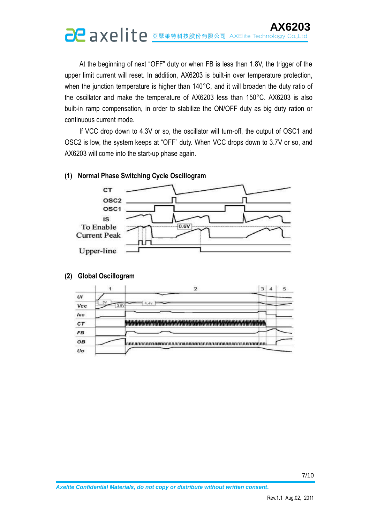# **AX6203**

At the beginning of next "OFF" duty or when FB is less than 1.8V, the trigger of the upper limit current will reset. In addition, AX6203 is built-in over temperature protection, when the junction temperature is higher than 140°C, and it will broaden the duty ratio of the oscillator and make the temperature of AX6203 less than 150°C. AX6203 is also built-in ramp compensation, in order to stabilize the ON/OFF duty as big duty ration or continuous current mode.

If VCC drop down to 4.3V or so, the oscillator will turn-off, the output of OSC1 and OSC2 is low, the system keeps at "OFF" duty. When VCC drops down to 3.7V or so, and AX6203 will come into the start-up phase again.

#### **(1) Normal Phase Switching Cycle Oscillogram**



#### **(2) Global Oscillogram**

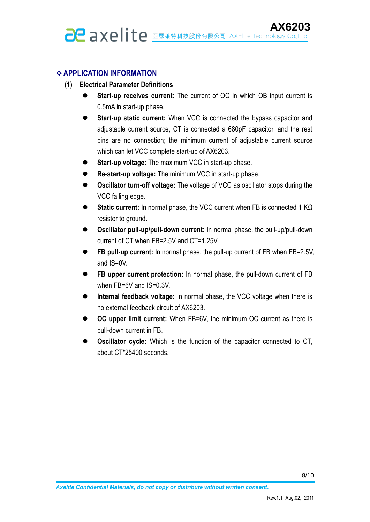# **APPLICATION INFORMATION**

- **(1) Electrical Parameter Definitions**
	- **Start-up receives current:** The current of OC in which OB input current is 0.5mA in start-up phase.
	- **Start-up static current:** When VCC is connected the bypass capacitor and adjustable current source, CT is connected a 680pF capacitor, and the rest pins are no connection; the minimum current of adjustable current source which can let VCC complete start-up of AX6203.
	- **Start-up voltage:** The maximum VCC in start-up phase.
	- **Re-start-up voltage:** The minimum VCC in start-up phase.
	- **Oscillator turn-off voltage:** The voltage of VCC as oscillator stops during the VCC falling edge.
	- **Static current:** In normal phase, the VCC current when FB is connected 1 KΩ resistor to ground.
	- **Oscillator pull-up/pull-down current:** In normal phase, the pull-up/pull-down current of CT when FB=2.5V and CT=1.25V.
	- **FB pull-up current:** In normal phase, the pull-up current of FB when FB=2.5V, and IS=0V.
	- **FB upper current protection:** In normal phase, the pull-down current of FB when FB=6V and IS=0.3V.
	- **Internal feedback voltage:** In normal phase, the VCC voltage when there is no external feedback circuit of AX6203.
	- **OC upper limit current:** When FB=6V, the minimum OC current as there is pull-down current in FB.
	- **Oscillator cycle:** Which is the function of the capacitor connected to CT, about CT\*25400 seconds.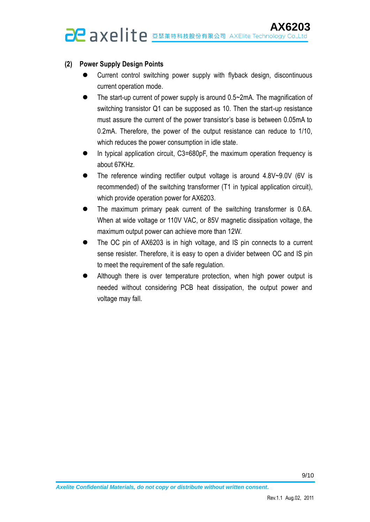# **(2) Power Supply Design Points**

- Current control switching power supply with flyback design, discontinuous current operation mode.
- The start-up current of power supply is around 0.5~2mA. The magnification of switching transistor Q1 can be supposed as 10. Then the start-up resistance must assure the current of the power transistor's base is between 0.05mA to 0.2mA. Therefore, the power of the output resistance can reduce to 1/10, which reduces the power consumption in idle state.
- In typical application circuit, C3=680pF, the maximum operation frequency is about 67KHz.
- The reference winding rectifier output voltage is around 4.8V~9.0V (6V is recommended) of the switching transformer (T1 in typical application circuit), which provide operation power for AX6203.
- The maximum primary peak current of the switching transformer is 0.6A. When at wide voltage or 110V VAC, or 85V magnetic dissipation voltage, the maximum output power can achieve more than 12W.
- The OC pin of AX6203 is in high voltage, and IS pin connects to a current sense resister. Therefore, it is easy to open a divider between OC and IS pin to meet the requirement of the safe regulation.
- Although there is over temperature protection, when high power output is needed without considering PCB heat dissipation, the output power and voltage may fall.